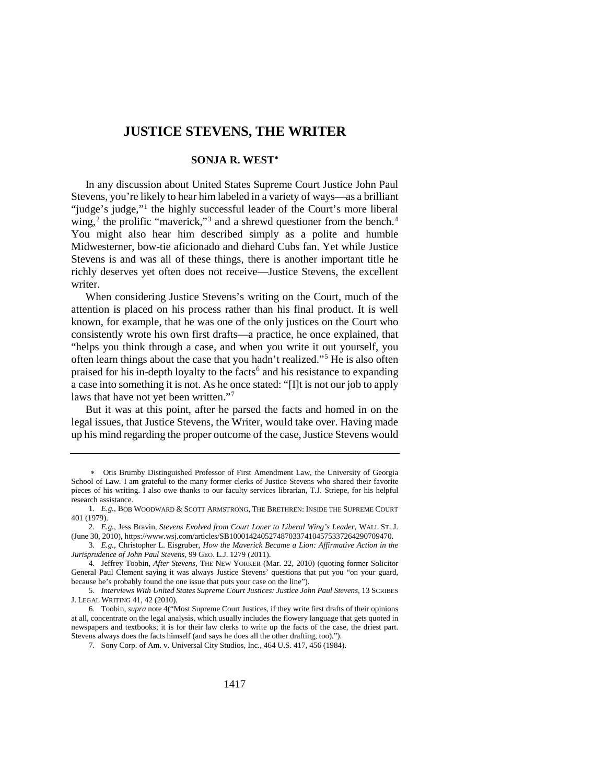# **JUSTICE STEVENS, THE WRITER**

# <span id="page-0-0"></span>**SONJA R. WEST**[∗](#page-0-1)

In any discussion about United States Supreme Court Justice John Paul Stevens, you're likely to hear him labeled in a variety of ways—as a brilliant "judge's judge,"[1](#page-0-2) the highly successful leader of the Court's more liberal wing,<sup>[2](#page-0-3)</sup> the prolific "maverick,"<sup>[3](#page-0-4)</sup> and a shrewd questioner from the bench.<sup>[4](#page-0-5)</sup> You might also hear him described simply as a polite and humble Midwesterner, bow-tie aficionado and diehard Cubs fan. Yet while Justice Stevens is and was all of these things, there is another important title he richly deserves yet often does not receive—Justice Stevens, the excellent writer.

When considering Justice Stevens's writing on the Court, much of the attention is placed on his process rather than his final product. It is well known, for example, that he was one of the only justices on the Court who consistently wrote his own first drafts—a practice, he once explained, that "helps you think through a case, and when you write it out yourself, you often learn things about the case that you hadn't realized."[5](#page-0-6) He is also often praised for his in-depth loyalty to the facts<sup>[6](#page-0-7)</sup> and his resistance to expanding a case into something it is not. As he once stated: "[I]t is not our job to apply laws that have not yet been written."[7](#page-0-8)

But it was at this point, after he parsed the facts and homed in on the legal issues, that Justice Stevens, the Writer, would take over. Having made up his mind regarding the proper outcome of the case, Justice Stevens would

<span id="page-0-1"></span><sup>∗</sup> Otis Brumby Distinguished Professor of First Amendment Law, the University of Georgia School of Law. I am grateful to the many former clerks of Justice Stevens who shared their favorite pieces of his writing. I also owe thanks to our faculty services librarian, T.J. Striepe, for his helpful research assistance.

<span id="page-0-2"></span><sup>1.</sup> *E.g.*, BOB WOODWARD & SCOTT ARMSTRONG, THE BRETHREN: INSIDE THE SUPREME COURT 401 (1979).

<span id="page-0-3"></span><sup>2.</sup> *E.g.*, Jess Bravin, *Stevens Evolved from Court Loner to Liberal Wing's Leader*, WALL ST. J. (June 30, 2010), https://www.wsj.com/articles/SB10001424052748703374104575337264290709470.

<span id="page-0-4"></span><sup>3.</sup> *E.g.*, Christopher L. Eisgruber, *How the Maverick Became a Lion: Affirmative Action in the Jurisprudence of John Paul Stevens*, 99 GEO. L.J. 1279 (2011).

<span id="page-0-5"></span><sup>4.</sup> Jeffrey Toobin, *After Stevens*, THE NEW YORKER (Mar. 22, 2010) (quoting former Solicitor General Paul Clement saying it was always Justice Stevens' questions that put you "on your guard, because he's probably found the one issue that puts your case on the line").

<span id="page-0-6"></span><sup>5.</sup> *Interviews With United States Supreme Court Justices: Justice John Paul Stevens*, 13 SCRIBES J. LEGAL WRITING 41, 42 (2010).

<span id="page-0-8"></span><span id="page-0-7"></span><sup>6.</sup> Toobin, *supra* not[e 4\(](#page-0-0)"Most Supreme Court Justices, if they write first drafts of their opinions at all, concentrate on the legal analysis, which usually includes the flowery language that gets quoted in newspapers and textbooks; it is for their law clerks to write up the facts of the case, the driest part. Stevens always does the facts himself (and says he does all the other drafting, too).").

<sup>7.</sup> Sony Corp. of Am. v. Universal City Studios, Inc., 464 U.S. 417, 456 (1984).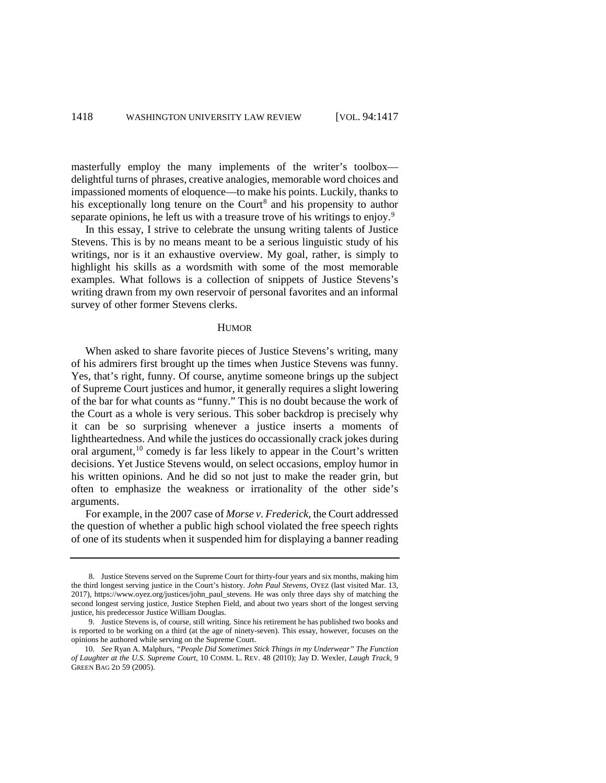masterfully employ the many implements of the writer's toolbox delightful turns of phrases, creative analogies, memorable word choices and impassioned moments of eloquence—to make his points. Luckily, thanks to his exceptionally long tenure on the Court<sup>[8](#page-1-0)</sup> and his propensity to author separate opinions, he left us with a treasure trove of his writings to enjoy.<sup>[9](#page-1-1)</sup>

In this essay, I strive to celebrate the unsung writing talents of Justice Stevens. This is by no means meant to be a serious linguistic study of his writings, nor is it an exhaustive overview. My goal, rather, is simply to highlight his skills as a wordsmith with some of the most memorable examples. What follows is a collection of snippets of Justice Stevens's writing drawn from my own reservoir of personal favorites and an informal survey of other former Stevens clerks.

## **HUMOR**

When asked to share favorite pieces of Justice Stevens's writing, many of his admirers first brought up the times when Justice Stevens was funny. Yes, that's right, funny. Of course, anytime someone brings up the subject of Supreme Court justices and humor, it generally requires a slight lowering of the bar for what counts as "funny." This is no doubt because the work of the Court as a whole is very serious. This sober backdrop is precisely why it can be so surprising whenever a justice inserts a moments of lightheartedness. And while the justices do occassionally crack jokes during oral argument,<sup>[10](#page-1-2)</sup> comedy is far less likely to appear in the Court's written decisions. Yet Justice Stevens would, on select occasions, employ humor in his written opinions. And he did so not just to make the reader grin, but often to emphasize the weakness or irrationality of the other side's arguments.

For example, in the 2007 case of *Morse v. Frederick*, the Court addressed the question of whether a public high school violated the free speech rights of one of its students when it suspended him for displaying a banner reading

<span id="page-1-0"></span><sup>8.</sup> Justice Stevens served on the Supreme Court for thirty-four years and six months, making him the third longest serving justice in the Court's history. *John Paul Stevens*, OYEZ (last visited Mar. 13, 2017), https://www.oyez.org/justices/john\_paul\_stevens. He was only three days shy of matching the second longest serving justice, Justice Stephen Field, and about two years short of the longest serving justice, his predecessor Justice William Douglas.

<span id="page-1-1"></span><sup>9.</sup> Justice Stevens is, of course, still writing. Since his retirement he has published two books and is reported to be working on a third (at the age of ninety-seven). This essay, however, focuses on the opinions he authored while serving on the Supreme Court.

<span id="page-1-2"></span><sup>10.</sup> *See* Ryan A. Malphurs, *"People Did Sometimes Stick Things in my Underwear" The Function of Laughter at the U.S. Supreme Court*, 10 COMM. L. REV. 48 (2010); Jay D. Wexler, *Laugh Track*, 9 GREEN BAG 2D 59 (2005).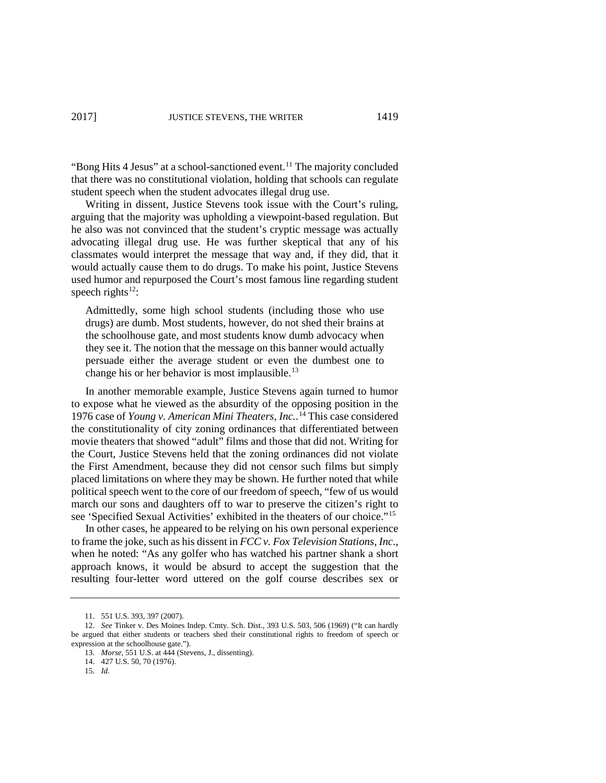"Bong Hits 4 Jesus" at a school-sanctioned event.<sup>11</sup> The majority concluded that there was no constitutional violation, holding that schools can regulate student speech when the student advocates illegal drug use.

Writing in dissent, Justice Stevens took issue with the Court's ruling, arguing that the majority was upholding a viewpoint-based regulation. But he also was not convinced that the student's cryptic message was actually advocating illegal drug use. He was further skeptical that any of his classmates would interpret the message that way and, if they did, that it would actually cause them to do drugs. To make his point, Justice Stevens used humor and repurposed the Court's most famous line regarding student speech rights<sup>[12](#page-2-1)</sup>:

Admittedly, some high school students (including those who use drugs) are dumb. Most students, however, do not shed their brains at the schoolhouse gate, and most students know dumb advocacy when they see it. The notion that the message on this banner would actually persuade either the average student or even the dumbest one to change his or her behavior is most implausible.<sup>[13](#page-2-2)</sup>

In another memorable example, Justice Stevens again turned to humor to expose what he viewed as the absurdity of the opposing position in the 1976 case of *Young v. American Mini Theaters, Inc.*. [14](#page-2-3) This case considered the constitutionality of city zoning ordinances that differentiated between movie theaters that showed "adult" films and those that did not. Writing for the Court, Justice Stevens held that the zoning ordinances did not violate the First Amendment, because they did not censor such films but simply placed limitations on where they may be shown. He further noted that while political speech went to the core of our freedom of speech, "few of us would march our sons and daughters off to war to preserve the citizen's right to see 'Specified Sexual Activities' exhibited in the theaters of our choice."[15](#page-2-4) 

In other cases, he appeared to be relying on his own personal experience to frame the joke, such as his dissent in *FCC v. Fox Television Stations, Inc.*, when he noted: "As any golfer who has watched his partner shank a short approach knows, it would be absurd to accept the suggestion that the resulting four-letter word uttered on the golf course describes sex or

<sup>11.</sup> 551 U.S. 393, 397 (2007).

<span id="page-2-4"></span><span id="page-2-3"></span><span id="page-2-2"></span><span id="page-2-1"></span><span id="page-2-0"></span><sup>12.</sup> *See* Tinker v. Des Moines Indep. Cmty. Sch. Dist., 393 U.S. 503, 506 (1969) ("It can hardly be argued that either students or teachers shed their constitutional rights to freedom of speech or expression at the schoolhouse gate.").

<sup>13.</sup> *Morse*, 551 U.S. at 444 (Stevens, J., dissenting).

<sup>14.</sup> 427 U.S. 50, 70 (1976).

<sup>15.</sup> *Id.*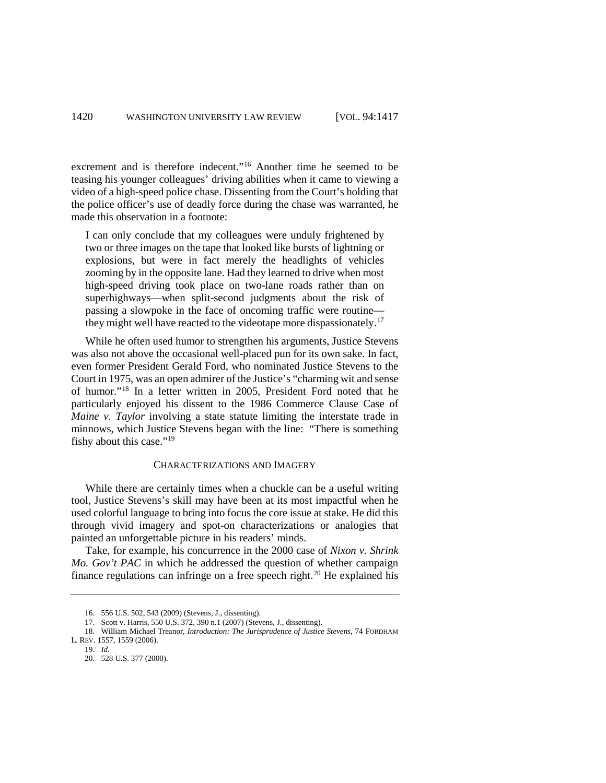excrement and is therefore indecent."[16](#page-3-0) Another time he seemed to be teasing his younger colleagues' driving abilities when it came to viewing a video of a high-speed police chase. Dissenting from the Court's holding that the police officer's use of deadly force during the chase was warranted, he made this observation in a footnote:

I can only conclude that my colleagues were unduly frightened by two or three images on the tape that looked like bursts of lightning or explosions, but were in fact merely the headlights of vehicles zooming by in the opposite lane. Had they learned to drive when most high-speed driving took place on two-lane roads rather than on superhighways—when split-second judgments about the risk of passing a slowpoke in the face of oncoming traffic were routine— they might well have reacted to the videotape more dispassionately.<sup>[17](#page-3-1)</sup>

While he often used humor to strengthen his arguments, Justice Stevens was also not above the occasional well-placed pun for its own sake. In fact, even former President Gerald Ford, who nominated Justice Stevens to the Court in 1975, was an open admirer of the Justice's "charming wit and sense of humor."[18](#page-3-2) In a letter written in 2005, President Ford noted that he particularly enjoyed his dissent to the 1986 Commerce Clause Case of *Maine v. Taylor* involving a state statute limiting the interstate trade in minnows, which Justice Stevens began with the line: "There is something fishy about this case."<sup>19</sup>

## CHARACTERIZATIONS AND IMAGERY

While there are certainly times when a chuckle can be a useful writing tool, Justice Stevens's skill may have been at its most impactful when he used colorful language to bring into focus the core issue at stake. He did this through vivid imagery and spot-on characterizations or analogies that painted an unforgettable picture in his readers' minds.

Take, for example, his concurrence in the 2000 case of *Nixon v. Shrink Mo. Gov't PAC* in which he addressed the question of whether campaign finance regulations can infringe on a free speech right.<sup>[20](#page-3-4)</sup> He explained his

<sup>16.</sup> 556 U.S. 502, 543 (2009) (Stevens, J., dissenting).

<sup>17.</sup> Scott v. Harris, 550 U.S. 372, 390 n.1 (2007) (Stevens, J., dissenting).

<span id="page-3-4"></span><span id="page-3-3"></span><span id="page-3-2"></span><span id="page-3-1"></span><span id="page-3-0"></span><sup>18.</sup> William Michael Treanor, *Introduction: The Jurisprudence of Justice Stevens*, 74 FORDHAM L. REV. 1557, 1559 (2006).

<sup>19.</sup> *Id.*

<sup>20.</sup> 528 U.S. 377 (2000).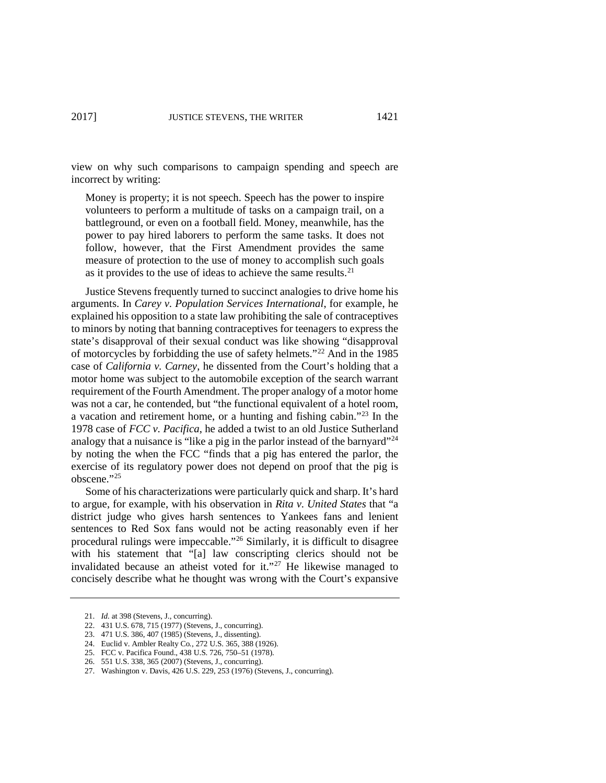view on why such comparisons to campaign spending and speech are incorrect by writing:

Money is property; it is not speech. Speech has the power to inspire volunteers to perform a multitude of tasks on a campaign trail, on a battleground, or even on a football field. Money, meanwhile, has the power to pay hired laborers to perform the same tasks. It does not follow, however, that the First Amendment provides the same measure of protection to the use of money to accomplish such goals as it provides to the use of ideas to achieve the same results. $21$ 

Justice Stevens frequently turned to succinct analogies to drive home his arguments. In *Carey v. Population Services International*, for example, he explained his opposition to a state law prohibiting the sale of contraceptives to minors by noting that banning contraceptives for teenagers to express the state's disapproval of their sexual conduct was like showing "disapproval of motorcycles by forbidding the use of safety helmets."[22](#page-4-1) And in the 1985 case of *California v. Carney*, he dissented from the Court's holding that a motor home was subject to the automobile exception of the search warrant requirement of the Fourth Amendment. The proper analogy of a motor home was not a car, he contended, but "the functional equivalent of a hotel room, a vacation and retirement home, or a hunting and fishing cabin."[23](#page-4-2) In the 1978 case of *FCC v. Pacifica*, he added a twist to an old Justice Sutherland analogy that a nuisance is "like a pig in the parlor instead of the barnyard"[24](#page-4-3) by noting the when the FCC "finds that a pig has entered the parlor, the exercise of its regulatory power does not depend on proof that the pig is obscene."[25](#page-4-4)

Some of his characterizations were particularly quick and sharp. It's hard to argue, for example, with his observation in *Rita v. United States* that "a district judge who gives harsh sentences to Yankees fans and lenient sentences to Red Sox fans would not be acting reasonably even if her procedural rulings were impeccable."[26](#page-4-5) Similarly, it is difficult to disagree with his statement that "[a] law conscripting clerics should not be invalidated because an atheist voted for it."<sup>[27](#page-4-6)</sup> He likewise managed to concisely describe what he thought was wrong with the Court's expansive

<span id="page-4-0"></span><sup>21.</sup> *Id.* at 398 (Stevens, J., concurring).

<span id="page-4-1"></span><sup>22.</sup> 431 U.S. 678, 715 (1977) (Stevens, J., concurring).

<span id="page-4-2"></span><sup>23.</sup> 471 U.S. 386, 407 (1985) (Stevens, J., dissenting).

<span id="page-4-3"></span><sup>24.</sup> Euclid v. Ambler Realty Co*.*, 272 U.S. 365, 388 (1926).

<span id="page-4-4"></span><sup>25.</sup> FCC v. Pacifica Found., 438 U.S. 726, 750–51 (1978).

<span id="page-4-5"></span><sup>26.</sup> 551 U.S. 338, 365 (2007) (Stevens, J., concurring).

<span id="page-4-6"></span><sup>27.</sup> Washington v. Davis, 426 U.S. 229, 253 (1976) (Stevens, J., concurring).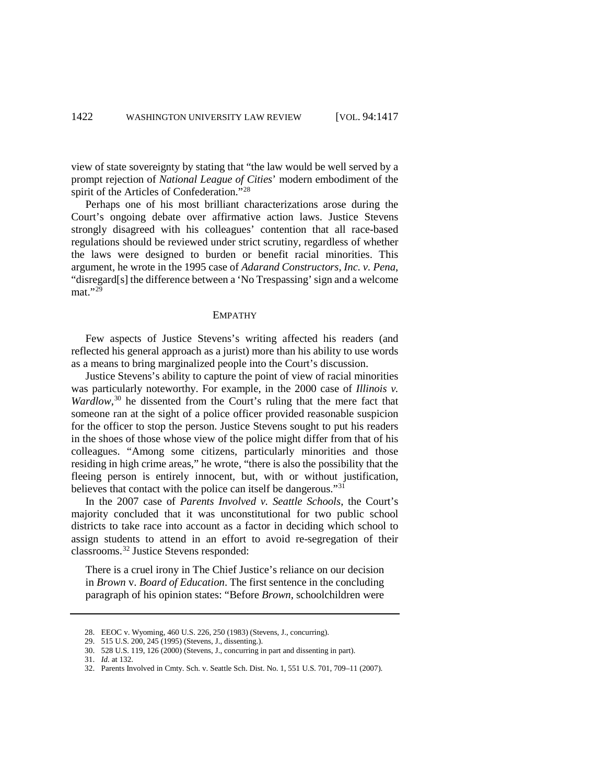view of state sovereignty by stating that "the law would be well served by a prompt rejection of *National League of Cities*' modern embodiment of the spirit of the Articles of Confederation."[28](#page-5-0)

Perhaps one of his most brilliant characterizations arose during the Court's ongoing debate over affirmative action laws. Justice Stevens strongly disagreed with his colleagues' contention that all race-based regulations should be reviewed under strict scrutiny, regardless of whether the laws were designed to burden or benefit racial minorities. This argument, he wrote in the 1995 case of *Adarand Constructors, Inc. v. Pena*, "disregard[s] the difference between a 'No Trespassing' sign and a welcome mat."[29](#page-5-1)

#### EMPATHY

Few aspects of Justice Stevens's writing affected his readers (and reflected his general approach as a jurist) more than his ability to use words as a means to bring marginalized people into the Court's discussion.

Justice Stevens's ability to capture the point of view of racial minorities was particularly noteworthy. For example, in the 2000 case of *Illinois v.*  Wardlow,<sup>[30](#page-5-2)</sup> he dissented from the Court's ruling that the mere fact that someone ran at the sight of a police officer provided reasonable suspicion for the officer to stop the person. Justice Stevens sought to put his readers in the shoes of those whose view of the police might differ from that of his colleagues. "Among some citizens, particularly minorities and those residing in high crime areas," he wrote, "there is also the possibility that the fleeing person is entirely innocent, but, with or without justification, believes that contact with the police can itself be dangerous."[31](#page-5-3)

In the 2007 case of *Parents Involved v. Seattle Schools*, the Court's majority concluded that it was unconstitutional for two public school districts to take race into account as a factor in deciding which school to assign students to attend in an effort to avoid re-segregation of their classrooms.[32](#page-5-4) Justice Stevens responded:

There is a cruel irony in The Chief Justice's reliance on our decision in *Brown* v. *Board of Education*. The first sentence in the concluding paragraph of his opinion states: "Before *Brown,* schoolchildren were

<span id="page-5-2"></span>30. 528 U.S. 119, 126 (2000) (Stevens, J., concurring in part and dissenting in part).

<span id="page-5-0"></span><sup>28.</sup> EEOC v. Wyoming, 460 U.S. 226, 250 (1983) (Stevens, J., concurring).

<span id="page-5-1"></span><sup>29.</sup> 515 U.S. 200, 245 (1995) (Stevens, J., dissenting.).

<span id="page-5-3"></span><sup>31.</sup> *Id.* at 132.

<span id="page-5-4"></span><sup>32.</sup> Parents Involved in Cmty. Sch. v. Seattle Sch. Dist. No. 1, 551 U.S. 701, 709–11 (2007).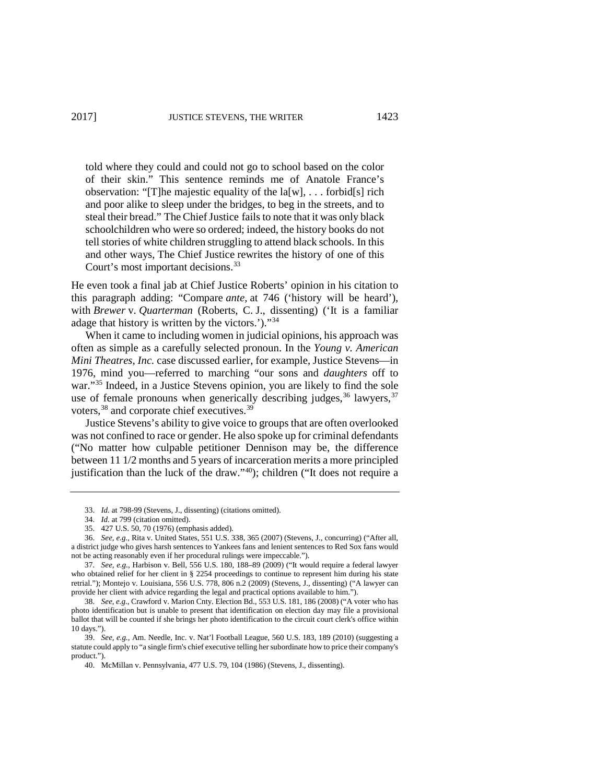told where they could and could not go to school based on the color of their skin." This sentence reminds me of Anatole France's observation: "[T]he majestic equality of the  $a[w]$ , ... forbid[s] rich and poor alike to sleep under the bridges, to beg in the streets, and to steal their bread." The Chief Justice fails to note that it was only black schoolchildren who were so ordered; indeed, the history books do not tell stories of white children struggling to attend black schools. In this and other ways, The Chief Justice rewrites the history of one of this Court's most important decisions.<sup>[33](#page-6-0)</sup>

He even took a final jab at Chief Justice Roberts' opinion in his citation to this paragraph adding: "Compare *ante,* at 746 ('history will be heard'), with *Brewer* v. *Quarterman* (Roberts, C. J., dissenting) ('It is a familiar adage that history is written by the victors.')."[34](#page-6-1)

When it came to including women in judicial opinions, his approach was often as simple as a carefully selected pronoun. In the *Young v. American Mini Theatres, Inc.* case discussed earlier, for example, Justice Stevens—in 1976, mind you—referred to marching "our sons and *daughters* off to war."<sup>35</sup> Indeed, in a Justice Stevens opinion, you are likely to find the sole use of female pronouns when generically describing judges,  $36$  lawyers,  $37$ voters,<sup>[38](#page-6-5)</sup> and corporate chief executives.<sup>[39](#page-6-6)</sup>

Justice Stevens's ability to give voice to groups that are often overlooked was not confined to race or gender. He also spoke up for criminal defendants ("No matter how culpable petitioner Dennison may be, the difference between 11 1/2 months and 5 years of incarceration merits a more principled justification than the luck of the draw."[40\)](#page-6-7); children ("It does not require a

<sup>33.</sup> *Id.* at 798-99 (Stevens, J., dissenting) (citations omitted).

<sup>34.</sup> *Id.* at 799 (citation omitted).

<sup>35.</sup> 427 U.S. 50, 70 (1976) (emphasis added).

<span id="page-6-3"></span><span id="page-6-2"></span><span id="page-6-1"></span><span id="page-6-0"></span><sup>36.</sup> *See, e.g.*, Rita v. United States, 551 U.S. 338, 365 (2007) (Stevens, J., concurring) ("After all, a district judge who gives harsh sentences to Yankees fans and lenient sentences to Red Sox fans would not be acting reasonably even if her procedural rulings were impeccable.").

<span id="page-6-4"></span><sup>37.</sup> *See, e.g.*, Harbison v. Bell, 556 U.S. 180, 188–89 (2009) ("It would require a federal lawyer who obtained relief for her client in § 2254 proceedings to continue to represent him during his state retrial."); Montejo v. Louisiana, 556 U.S. 778, 806 n.2 (2009) (Stevens, J., dissenting) ("A lawyer can provide her client with advice regarding the legal and practical options available to him.").

<span id="page-6-5"></span><sup>38.</sup> *See, e.g.*, Crawford v. Marion Cnty. Election Bd., 553 U.S. 181, 186 (2008) ("A voter who has photo identification but is unable to present that identification on election day may file a provisional ballot that will be counted if she brings her photo identification to the circuit court clerk's office within 10 days.").

<span id="page-6-7"></span><span id="page-6-6"></span><sup>39.</sup> *See, e.g.*, Am. Needle, Inc. v. Nat'l Football League, 560 U.S. 183, 189 (2010) (suggesting a statute could apply to "a single firm's chief executive telling her subordinate how to price their company's product.").

<sup>40.</sup> McMillan v. Pennsylvania, 477 U.S. 79, 104 (1986) (Stevens, J., dissenting).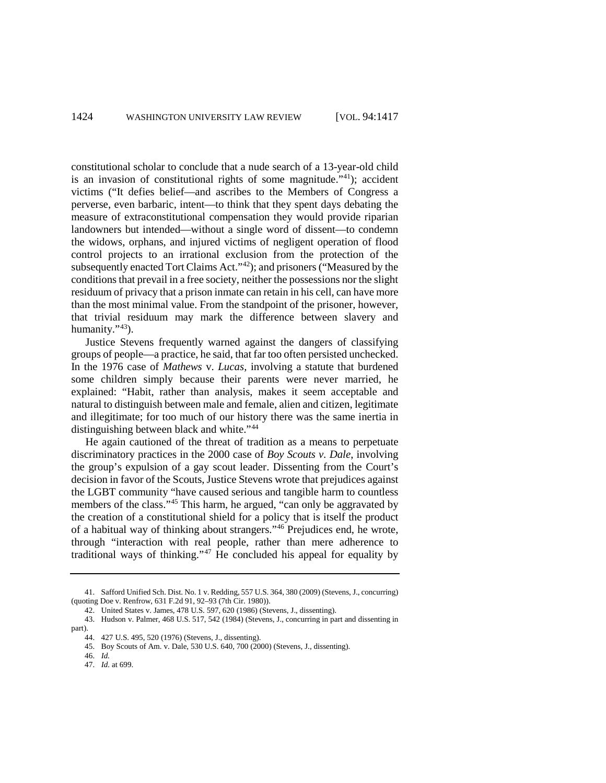constitutional scholar to conclude that a nude search of a 13-year-old child is an invasion of constitutional rights of some magnitude."[41](#page-7-0)); accident victims ("It defies belief—and ascribes to the Members of Congress a perverse, even barbaric, intent—to think that they spent days debating the measure of extraconstitutional compensation they would provide riparian landowners but intended—without a single word of dissent—to condemn the widows, orphans, and injured victims of negligent operation of flood control projects to an irrational exclusion from the protection of the subsequently enacted Tort Claims Act."[42\)](#page-7-1); and prisoners ("Measured by the conditions that prevail in a free society, neither the possessions nor the slight residuum of privacy that a prison inmate can retain in his cell, can have more than the most minimal value. From the standpoint of the prisoner, however, that trivial residuum may mark the difference between slavery and humanity."<sup>43</sup>).

Justice Stevens frequently warned against the dangers of classifying groups of people—a practice, he said, that far too often persisted unchecked. In the 1976 case of *Mathews* v. *Lucas,* involving a statute that burdened some children simply because their parents were never married, he explained: "Habit, rather than analysis, makes it seem acceptable and natural to distinguish between male and female, alien and citizen, legitimate and illegitimate; for too much of our history there was the same inertia in distinguishing between black and white."<sup>[44](#page-7-3)</sup>

He again cautioned of the threat of tradition as a means to perpetuate discriminatory practices in the 2000 case of *Boy Scouts v. Dale*, involving the group's expulsion of a gay scout leader. Dissenting from the Court's decision in favor of the Scouts, Justice Stevens wrote that prejudices against the LGBT community "have caused serious and tangible harm to countless members of the class."<sup>45</sup> This harm, he argued, "can only be aggravated by the creation of a constitutional shield for a policy that is itself the product of a habitual way of thinking about strangers."[46](#page-7-5) Prejudices end, he wrote, through "interaction with real people, rather than mere adherence to traditional ways of thinking."[47](#page-7-6) He concluded his appeal for equality by

<span id="page-7-0"></span><sup>41.</sup> Safford Unified Sch. Dist. No. 1 v. Redding, 557 U.S. 364, 380 (2009) (Stevens, J., concurring) (quoting Doe v. Renfrow, 631 F.2d 91, 92–93 (7th Cir. 1980)).

<sup>42.</sup> United States v. James, 478 U.S. 597, 620 (1986) (Stevens, J., dissenting).

<span id="page-7-5"></span><span id="page-7-4"></span><span id="page-7-3"></span><span id="page-7-2"></span><span id="page-7-1"></span><sup>43.</sup> Hudson v. Palmer, 468 U.S. 517, 542 (1984) (Stevens, J., concurring in part and dissenting in part).

<sup>44.</sup> 427 U.S. 495, 520 (1976) (Stevens, J., dissenting).

<span id="page-7-6"></span><sup>45.</sup> Boy Scouts of Am. v. Dale, 530 U.S. 640, 700 (2000) (Stevens, J., dissenting).

<sup>46.</sup> *Id.*

<sup>47.</sup> *Id.* at 699.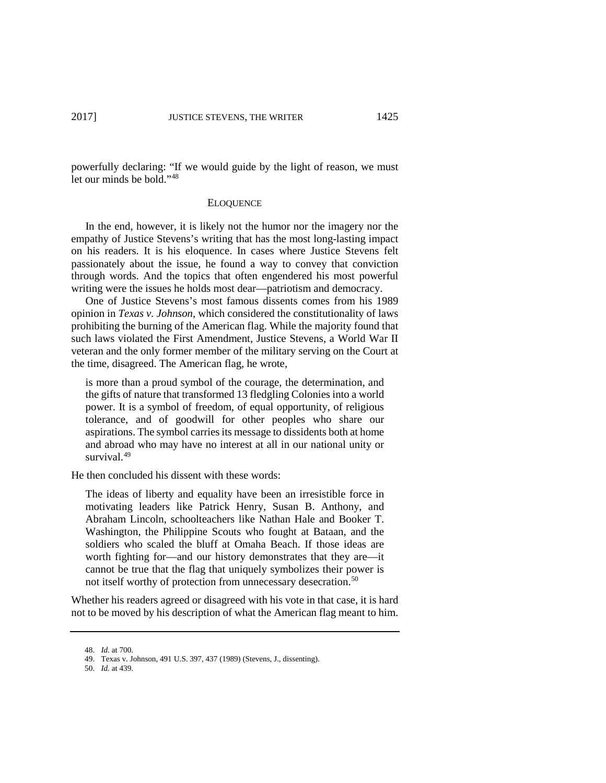powerfully declaring: "If we would guide by the light of reason, we must let our minds be bold."[48](#page-8-0) 

#### **ELOQUENCE**

In the end, however, it is likely not the humor nor the imagery nor the empathy of Justice Stevens's writing that has the most long-lasting impact on his readers. It is his eloquence. In cases where Justice Stevens felt passionately about the issue, he found a way to convey that conviction through words. And the topics that often engendered his most powerful writing were the issues he holds most dear—patriotism and democracy.

One of Justice Stevens's most famous dissents comes from his 1989 opinion in *Texas v. Johnson*, which considered the constitutionality of laws prohibiting the burning of the American flag. While the majority found that such laws violated the First Amendment, Justice Stevens, a World War II veteran and the only former member of the military serving on the Court at the time, disagreed. The American flag, he wrote,

is more than a proud symbol of the courage, the determination, and the gifts of nature that transformed 13 fledgling Colonies into a world power. It is a symbol of freedom, of equal opportunity, of religious tolerance, and of goodwill for other peoples who share our aspirations. The symbol carries its message to dissidents both at home and abroad who may have no interest at all in our national unity or survival<sup>[49](#page-8-1)</sup>

He then concluded his dissent with these words:

The ideas of liberty and equality have been an irresistible force in motivating leaders like Patrick Henry, Susan B. Anthony, and Abraham Lincoln, schoolteachers like Nathan Hale and Booker T. Washington, the Philippine Scouts who fought at Bataan, and the soldiers who scaled the bluff at Omaha Beach. If those ideas are worth fighting for—and our history demonstrates that they are—it cannot be true that the flag that uniquely symbolizes their power is not itself worthy of protection from unnecessary desecration.<sup>[50](#page-8-2)</sup>

Whether his readers agreed or disagreed with his vote in that case, it is hard not to be moved by his description of what the American flag meant to him.

<span id="page-8-0"></span><sup>48.</sup> *Id.* at 700.

<span id="page-8-1"></span><sup>49.</sup> Texas v. Johnson, 491 U.S. 397, 437 (1989) (Stevens, J., dissenting).

<span id="page-8-2"></span><sup>50.</sup> *Id.* at 439.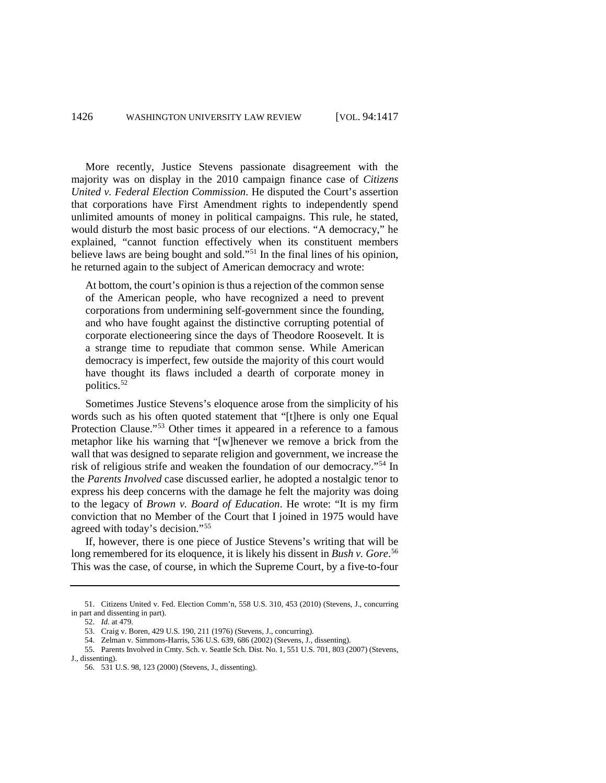More recently, Justice Stevens passionate disagreement with the majority was on display in the 2010 campaign finance case of *Citizens United v. Federal Election Commission*. He disputed the Court's assertion that corporations have First Amendment rights to independently spend unlimited amounts of money in political campaigns. This rule, he stated, would disturb the most basic process of our elections. "A democracy," he explained, "cannot function effectively when its constituent members believe laws are being bought and sold."[51](#page-9-0) In the final lines of his opinion, he returned again to the subject of American democracy and wrote:

At bottom, the court's opinion is thus a rejection of the common sense of the American people, who have recognized a need to prevent corporations from undermining self-government since the founding, and who have fought against the distinctive corrupting potential of corporate electioneering since the days of Theodore Roosevelt. It is a strange time to repudiate that common sense. While American democracy is imperfect, few outside the majority of this court would have thought its flaws included a dearth of corporate money in politics.[52](#page-9-1)

Sometimes Justice Stevens's eloquence arose from the simplicity of his words such as his often quoted statement that "[t]here is only one Equal Protection Clause."[53](#page-9-2) Other times it appeared in a reference to a famous metaphor like his warning that "[w]henever we remove a brick from the wall that was designed to separate religion and government, we increase the risk of religious strife and weaken the foundation of our democracy."[54](#page-9-3) In the *Parents Involved* case discussed earlier, he adopted a nostalgic tenor to express his deep concerns with the damage he felt the majority was doing to the legacy of *Brown v. Board of Education*. He wrote: "It is my firm conviction that no Member of the Court that I joined in 1975 would have agreed with today's decision."[55](#page-9-4)

If, however, there is one piece of Justice Stevens's writing that will be long remembered for its eloquence, it is likely his dissent in *Bush v. Gore*. [56](#page-9-5) This was the case, of course, in which the Supreme Court, by a five-to-four

<span id="page-9-1"></span><span id="page-9-0"></span><sup>51.</sup> Citizens United v. Fed. Election Comm'n, 558 U.S. 310, 453 (2010) (Stevens, J., concurring in part and dissenting in part).

<sup>52.</sup> *Id.* at 479.

<sup>53.</sup> Craig v. Boren, 429 U.S. 190, 211 (1976) (Stevens, J., concurring).

<sup>54.</sup> Zelman v. Simmons-Harris, 536 U.S. 639, 686 (2002) (Stevens, J., dissenting).

<span id="page-9-5"></span><span id="page-9-4"></span><span id="page-9-3"></span><span id="page-9-2"></span><sup>55.</sup> Parents Involved in Cmty. Sch. v. Seattle Sch. Dist. No. 1, 551 U.S. 701, 803 (2007) (Stevens, J., dissenting).

<sup>56.</sup> 531 U.S. 98, 123 (2000) (Stevens, J., dissenting).